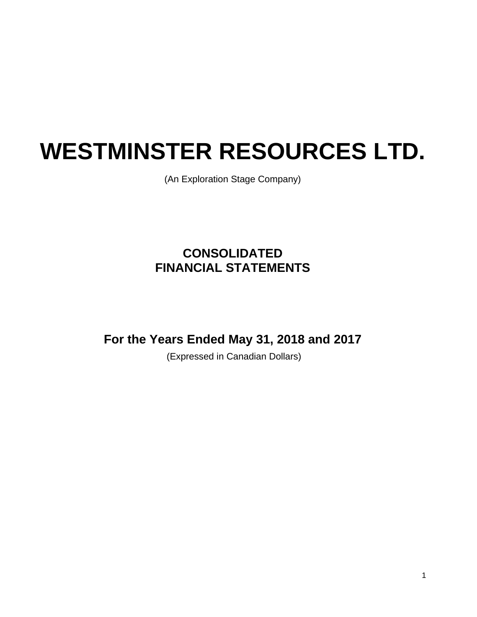(An Exploration Stage Company)

# **CONSOLIDATED FINANCIAL STATEMENTS**

**For the Years Ended May 31, 2018 and 2017** 

(Expressed in Canadian Dollars)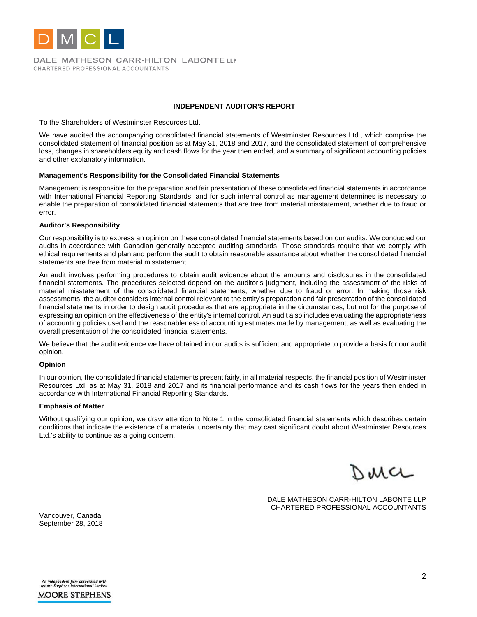

DALE MATHESON CARR-HILTON LABONTE LLP CHARTERED PROFESSIONAL ACCOUNTANTS

#### **INDEPENDENT AUDITOR'S REPORT**

To the Shareholders of Westminster Resources Ltd.

We have audited the accompanying consolidated financial statements of Westminster Resources Ltd., which comprise the consolidated statement of financial position as at May 31, 2018 and 2017, and the consolidated statement of comprehensive loss, changes in shareholders equity and cash flows for the year then ended, and a summary of significant accounting policies and other explanatory information.

#### **Management's Responsibility for the Consolidated Financial Statements**

Management is responsible for the preparation and fair presentation of these consolidated financial statements in accordance with International Financial Reporting Standards, and for such internal control as management determines is necessary to enable the preparation of consolidated financial statements that are free from material misstatement, whether due to fraud or error.

#### **Auditor's Responsibility**

Our responsibility is to express an opinion on these consolidated financial statements based on our audits. We conducted our audits in accordance with Canadian generally accepted auditing standards. Those standards require that we comply with ethical requirements and plan and perform the audit to obtain reasonable assurance about whether the consolidated financial statements are free from material misstatement.

An audit involves performing procedures to obtain audit evidence about the amounts and disclosures in the consolidated financial statements. The procedures selected depend on the auditor's judgment, including the assessment of the risks of material misstatement of the consolidated financial statements, whether due to fraud or error. In making those risk assessments, the auditor considers internal control relevant to the entity's preparation and fair presentation of the consolidated financial statements in order to design audit procedures that are appropriate in the circumstances, but not for the purpose of expressing an opinion on the effectiveness of the entity's internal control. An audit also includes evaluating the appropriateness of accounting policies used and the reasonableness of accounting estimates made by management, as well as evaluating the overall presentation of the consolidated financial statements.

We believe that the audit evidence we have obtained in our audits is sufficient and appropriate to provide a basis for our audit opinion.

#### **Opinion**

In our opinion, the consolidated financial statements present fairly, in all material respects, the financial position of Westminster Resources Ltd. as at May 31, 2018 and 2017 and its financial performance and its cash flows for the years then ended in accordance with International Financial Reporting Standards.

#### **Emphasis of Matter**

Without qualifying our opinion, we draw attention to Note 1 in the consolidated financial statements which describes certain conditions that indicate the existence of a material uncertainty that may cast significant doubt about Westminster Resources Ltd.'s ability to continue as a going concern.

wa

DALE MATHESON CARR-HILTON LABONTE LLP CHARTERED PROFESSIONAL ACCOUNTANTS

Vancouver, Canada September 28, 2018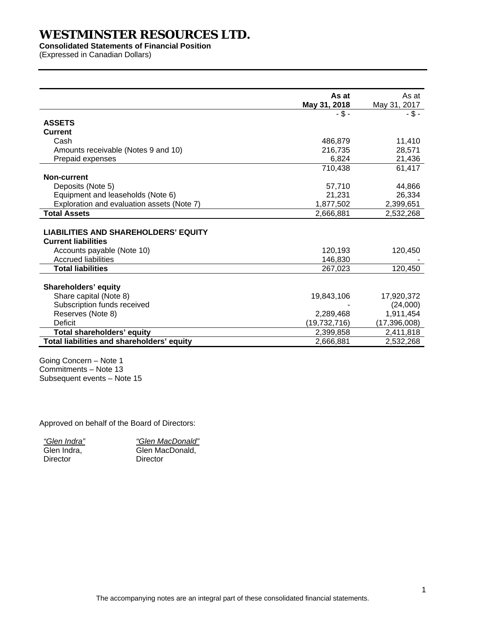**Consolidated Statements of Financial Position** 

(Expressed in Canadian Dollars)

| May 31, 2018<br>May 31, 2017<br>- \$ -<br><b>ASSETS</b><br><b>Current</b><br>Cash<br>486,879<br>Amounts receivable (Notes 9 and 10)<br>216,735 | - \$ -<br>11,410<br>28,571 |
|------------------------------------------------------------------------------------------------------------------------------------------------|----------------------------|
|                                                                                                                                                |                            |
|                                                                                                                                                |                            |
|                                                                                                                                                |                            |
|                                                                                                                                                |                            |
|                                                                                                                                                |                            |
| 6,824<br>Prepaid expenses                                                                                                                      | 21,436                     |
| 710,438                                                                                                                                        | 61,417                     |
| <b>Non-current</b>                                                                                                                             |                            |
| Deposits (Note 5)<br>57,710                                                                                                                    | 44,866                     |
| Equipment and leaseholds (Note 6)<br>21,231                                                                                                    | 26,334                     |
| Exploration and evaluation assets (Note 7)<br>1,877,502<br>2,399,651                                                                           |                            |
| <b>Total Assets</b><br>2,666,881<br>2,532,268                                                                                                  |                            |
|                                                                                                                                                |                            |
| <b>LIABILITIES AND SHAREHOLDERS' EQUITY</b>                                                                                                    |                            |
| <b>Current liabilities</b>                                                                                                                     |                            |
| Accounts payable (Note 10)<br>120,193                                                                                                          | 120,450                    |
| <b>Accrued liabilities</b><br>146,830                                                                                                          |                            |
| <b>Total liabilities</b><br>267,023                                                                                                            | 120,450                    |
|                                                                                                                                                |                            |
| Shareholders' equity                                                                                                                           |                            |
| Share capital (Note 8)<br>19,843,106<br>17,920,372                                                                                             |                            |
| Subscription funds received                                                                                                                    | (24,000)                   |
| Reserves (Note 8)<br>1,911,454<br>2,289,468                                                                                                    |                            |
| <b>Deficit</b><br>(19, 732, 716)<br>(17, 396, 008)                                                                                             |                            |
| Total shareholders' equity<br>2,399,858<br>2,411,818                                                                                           |                            |
| Total liabilities and shareholders' equity<br>2,666,881<br>2,532,268                                                                           |                            |

Going Concern – Note 1 Commitments – Note 13 Subsequent events – Note 15

Approved on behalf of the Board of Directors:

| "Glen Indra" |
|--------------|
| Glen Indra.  |
| Director     |

*"Glen MacDonald"*  Glen MacDonald, **Director**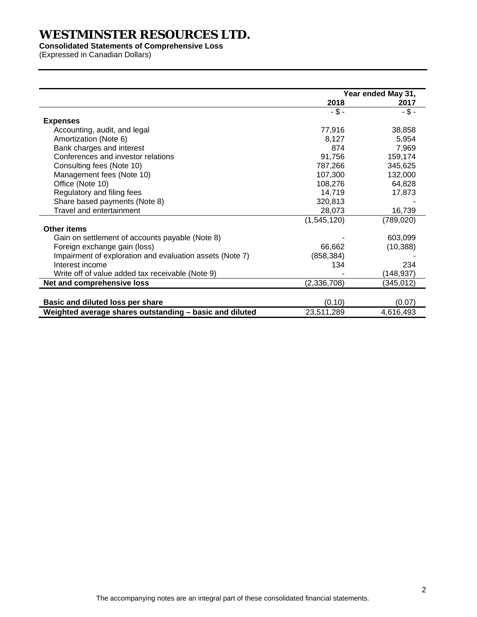**Consolidated Statements of Comprehensive Loss** 

(Expressed in Canadian Dollars)

|                                                          | Year ended May 31, |            |  |
|----------------------------------------------------------|--------------------|------------|--|
|                                                          | 2018               | 2017       |  |
|                                                          | $-$ \$ -           | $-$ \$ -   |  |
| <b>Expenses</b>                                          |                    |            |  |
| Accounting, audit, and legal                             | 77,916             | 38,858     |  |
| Amortization (Note 6)                                    | 8,127              | 5,954      |  |
| Bank charges and interest                                | 874                | 7,969      |  |
| Conferences and investor relations                       | 91,756             | 159,174    |  |
| Consulting fees (Note 10)                                | 787,266            | 345,625    |  |
| Management fees (Note 10)                                | 107,300            | 132,000    |  |
| Office (Note 10)                                         | 108,276            | 64,828     |  |
| Regulatory and filing fees                               | 14,719             | 17,873     |  |
| Share based payments (Note 8)                            | 320,813            |            |  |
| Travel and entertainment                                 | 28,073             | 16,739     |  |
|                                                          | (1,545,120)        | (789, 020) |  |
| <b>Other items</b>                                       |                    |            |  |
| Gain on settlement of accounts payable (Note 8)          |                    | 603,099    |  |
| Foreign exchange gain (loss)                             | 66,662             | (10, 388)  |  |
| Impairment of exploration and evaluation assets (Note 7) | (858, 384)         |            |  |
| Interest income                                          | 134                | 234        |  |
| Write off of value added tax receivable (Note 9)         |                    | (148, 937) |  |
| Net and comprehensive loss                               | (2,336,708)        | (345, 012) |  |
|                                                          |                    |            |  |
| Basic and diluted loss per share                         | (0.10)             | (0.07)     |  |
| Weighted average shares outstanding - basic and diluted  | 23,511,289         | 4,616,493  |  |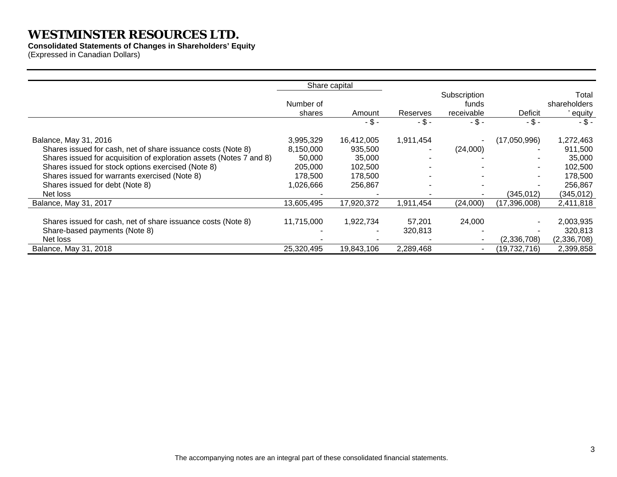**Consolidated Statements of Changes in Shareholders' Equity**  (Expressed in Canadian Dollars)

|                                                                     | Share capital       |            |           |                                     |                |                                 |
|---------------------------------------------------------------------|---------------------|------------|-----------|-------------------------------------|----------------|---------------------------------|
|                                                                     | Number of<br>shares | Amount     | Reserves  | Subscription<br>funds<br>receivable | Deficit        | Total<br>shareholders<br>equity |
|                                                                     |                     | -\$-       | $-$ \$ -  | $-5-$                               | $-$ \$ -       | $-5-$                           |
| Balance, May 31, 2016                                               | 3,995,329           | 16,412,005 | 1,911,454 |                                     | (17,050,996)   | 1,272,463                       |
| Shares issued for cash, net of share issuance costs (Note 8)        | 8,150,000           | 935,500    |           | (24,000)                            |                | 911,500                         |
| Shares issued for acquisition of exploration assets (Notes 7 and 8) | 50,000              | 35,000     |           |                                     |                | 35,000                          |
| Shares issued for stock options exercised (Note 8)                  | 205,000             | 102,500    |           |                                     | ۰              | 102,500                         |
| Shares issued for warrants exercised (Note 8)                       | 178,500             | 178,500    |           |                                     | ۰              | 178,500                         |
| Shares issued for debt (Note 8)                                     | 026,666.            | 256,867    |           |                                     |                | 256,867                         |
| Net loss                                                            |                     |            |           |                                     | (345,012)      | (345, 012)                      |
| Balance, May 31, 2017                                               | 13,605,495          | 17,920,372 | 1,911,454 | (24,000)                            | (17,396,008)   | 2,411,818                       |
|                                                                     |                     |            |           |                                     |                |                                 |
| Shares issued for cash, net of share issuance costs (Note 8)        | 11,715,000          | 1,922,734  | 57,201    | 24,000                              |                | 2,003,935                       |
| Share-based payments (Note 8)                                       |                     |            | 320,813   |                                     |                | 320,813                         |
| Net loss                                                            |                     |            |           |                                     | (2,336,708)    | (2,336,708)                     |
| Balance, May 31, 2018                                               | 25,320,495          | 19,843,106 | 2,289,468 |                                     | (19, 732, 716) | 2,399,858                       |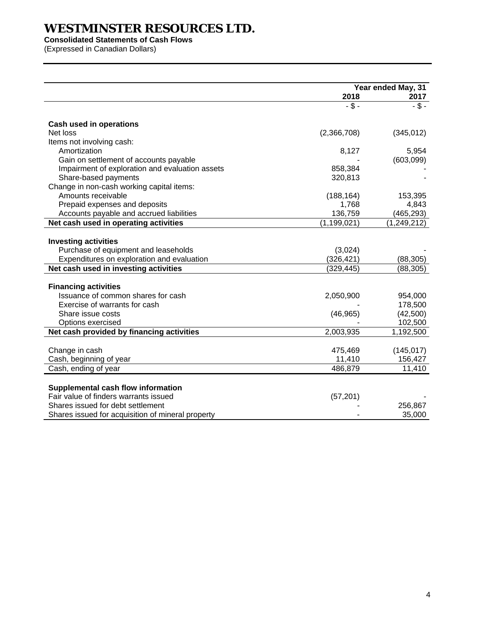**Consolidated Statements of Cash Flows** 

(Expressed in Canadian Dollars)

|                                                   | Year ended May, 31 |                   |
|---------------------------------------------------|--------------------|-------------------|
|                                                   | 2018               | 2017              |
|                                                   | $-5-$              | $\overline{\$}$ - |
| Cash used in operations                           |                    |                   |
| Net loss                                          | (2,366,708)        | (345, 012)        |
| Items not involving cash:                         |                    |                   |
| Amortization                                      | 8,127              | 5,954             |
| Gain on settlement of accounts payable            |                    | (603,099)         |
| Impairment of exploration and evaluation assets   | 858,384            |                   |
| Share-based payments                              | 320,813            |                   |
| Change in non-cash working capital items:         |                    |                   |
| Amounts receivable                                | (188, 164)         | 153,395           |
| Prepaid expenses and deposits                     | 1,768              | 4,843             |
| Accounts payable and accrued liabilities          | 136,759            | (465, 293)        |
| Net cash used in operating activities             | (1, 199, 021)      | (1, 249, 212)     |
|                                                   |                    |                   |
| <b>Investing activities</b>                       |                    |                   |
| Purchase of equipment and leaseholds              | (3,024)            |                   |
| Expenditures on exploration and evaluation        | (326, 421)         | (88, 305)         |
| Net cash used in investing activities             | (329, 445)         | (88, 305)         |
| <b>Financing activities</b>                       |                    |                   |
| Issuance of common shares for cash                | 2,050,900          | 954,000           |
| Exercise of warrants for cash                     |                    | 178,500           |
| Share issue costs                                 | (46, 965)          | (42,500)          |
| Options exercised                                 |                    | 102,500           |
| Net cash provided by financing activities         | 2,003,935          | 1,192,500         |
|                                                   |                    |                   |
| Change in cash                                    | 475,469            | (145, 017)        |
| Cash, beginning of year                           | 11,410             | 156,427           |
| Cash, ending of year                              | 486,879            | 11,410            |
|                                                   |                    |                   |
| Supplemental cash flow information                |                    |                   |
| Fair value of finders warrants issued             | (57, 201)          |                   |
| Shares issued for debt settlement                 |                    | 256,867           |
| Shares issued for acquisition of mineral property |                    | 35,000            |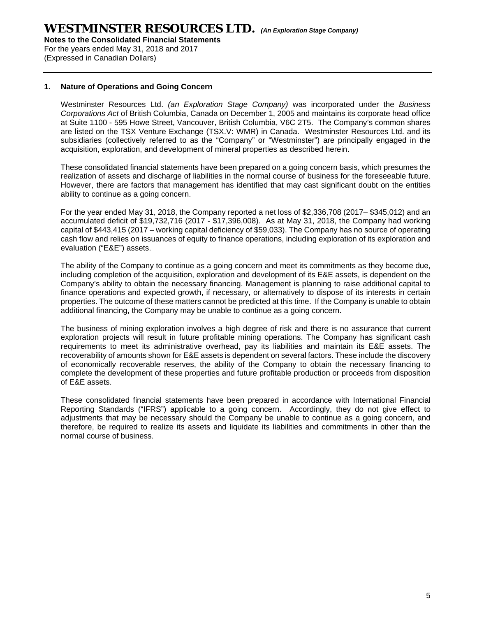For the years ended May 31, 2018 and 2017 (Expressed in Canadian Dollars)

### **1. Nature of Operations and Going Concern**

Westminster Resources Ltd. *(an Exploration Stage Company)* was incorporated under the *Business Corporations Act* of British Columbia, Canada on December 1, 2005 and maintains its corporate head office at Suite 1100 - 595 Howe Street, Vancouver, British Columbia, V6C 2T5. The Company's common shares are listed on the TSX Venture Exchange (TSX.V: WMR) in Canada. Westminster Resources Ltd. and its subsidiaries (collectively referred to as the "Company" or "Westminster") are principally engaged in the acquisition, exploration, and development of mineral properties as described herein.

These consolidated financial statements have been prepared on a going concern basis, which presumes the realization of assets and discharge of liabilities in the normal course of business for the foreseeable future. However, there are factors that management has identified that may cast significant doubt on the entities ability to continue as a going concern.

For the year ended May 31, 2018, the Company reported a net loss of \$2,336,708 (2017– \$345,012) and an accumulated deficit of \$19,732,716 (2017 - \$17,396,008). As at May 31, 2018, the Company had working capital of \$443,415 (2017 – working capital deficiency of \$59,033). The Company has no source of operating cash flow and relies on issuances of equity to finance operations, including exploration of its exploration and evaluation ("E&E") assets.

The ability of the Company to continue as a going concern and meet its commitments as they become due, including completion of the acquisition, exploration and development of its E&E assets, is dependent on the Company's ability to obtain the necessary financing. Management is planning to raise additional capital to finance operations and expected growth, if necessary, or alternatively to dispose of its interests in certain properties. The outcome of these matters cannot be predicted at this time. If the Company is unable to obtain additional financing, the Company may be unable to continue as a going concern.

The business of mining exploration involves a high degree of risk and there is no assurance that current exploration projects will result in future profitable mining operations. The Company has significant cash requirements to meet its administrative overhead, pay its liabilities and maintain its E&E assets. The recoverability of amounts shown for E&E assets is dependent on several factors. These include the discovery of economically recoverable reserves, the ability of the Company to obtain the necessary financing to complete the development of these properties and future profitable production or proceeds from disposition of E&E assets.

These consolidated financial statements have been prepared in accordance with International Financial Reporting Standards ("IFRS") applicable to a going concern. Accordingly, they do not give effect to adjustments that may be necessary should the Company be unable to continue as a going concern, and therefore, be required to realize its assets and liquidate its liabilities and commitments in other than the normal course of business.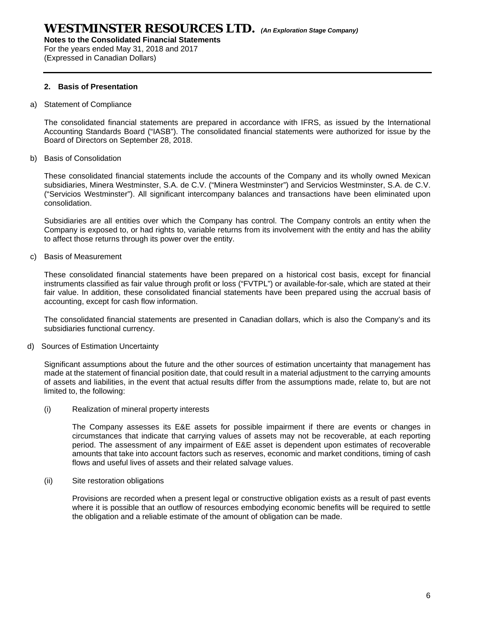**Notes to the Consolidated Financial Statements**  For the years ended May 31, 2018 and 2017

(Expressed in Canadian Dollars)

### **2. Basis of Presentation**

a) Statement of Compliance

The consolidated financial statements are prepared in accordance with IFRS, as issued by the International Accounting Standards Board ("IASB"). The consolidated financial statements were authorized for issue by the Board of Directors on September 28, 2018.

b) Basis of Consolidation

These consolidated financial statements include the accounts of the Company and its wholly owned Mexican subsidiaries, Minera Westminster, S.A. de C.V. ("Minera Westminster") and Servicios Westminster, S.A. de C.V. ("Servicios Westminster"). All significant intercompany balances and transactions have been eliminated upon consolidation.

Subsidiaries are all entities over which the Company has control. The Company controls an entity when the Company is exposed to, or had rights to, variable returns from its involvement with the entity and has the ability to affect those returns through its power over the entity.

c) Basis of Measurement

These consolidated financial statements have been prepared on a historical cost basis, except for financial instruments classified as fair value through profit or loss ("FVTPL") or available-for-sale, which are stated at their fair value. In addition, these consolidated financial statements have been prepared using the accrual basis of accounting, except for cash flow information.

The consolidated financial statements are presented in Canadian dollars, which is also the Company's and its subsidiaries functional currency.

d) Sources of Estimation Uncertainty

Significant assumptions about the future and the other sources of estimation uncertainty that management has made at the statement of financial position date, that could result in a material adjustment to the carrying amounts of assets and liabilities, in the event that actual results differ from the assumptions made, relate to, but are not limited to, the following:

(i) Realization of mineral property interests

The Company assesses its E&E assets for possible impairment if there are events or changes in circumstances that indicate that carrying values of assets may not be recoverable, at each reporting period. The assessment of any impairment of E&E asset is dependent upon estimates of recoverable amounts that take into account factors such as reserves, economic and market conditions, timing of cash flows and useful lives of assets and their related salvage values.

(ii) Site restoration obligations

Provisions are recorded when a present legal or constructive obligation exists as a result of past events where it is possible that an outflow of resources embodying economic benefits will be required to settle the obligation and a reliable estimate of the amount of obligation can be made.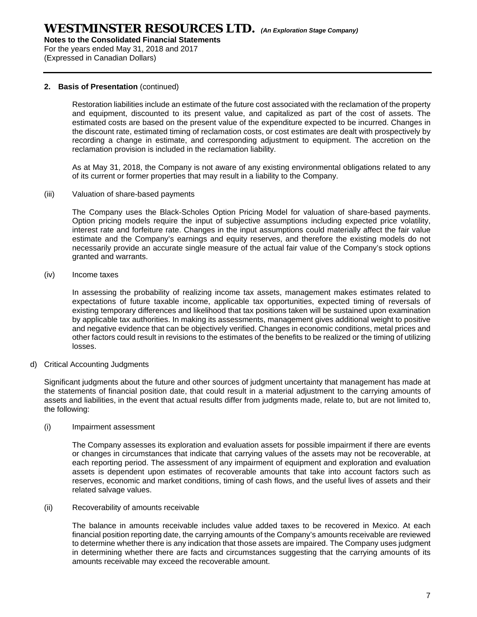For the years ended May 31, 2018 and 2017 (Expressed in Canadian Dollars)

### **2. Basis of Presentation** (continued)

Restoration liabilities include an estimate of the future cost associated with the reclamation of the property and equipment, discounted to its present value, and capitalized as part of the cost of assets. The estimated costs are based on the present value of the expenditure expected to be incurred. Changes in the discount rate, estimated timing of reclamation costs, or cost estimates are dealt with prospectively by recording a change in estimate, and corresponding adjustment to equipment. The accretion on the reclamation provision is included in the reclamation liability.

As at May 31, 2018, the Company is not aware of any existing environmental obligations related to any of its current or former properties that may result in a liability to the Company.

(iii) Valuation of share-based payments

The Company uses the Black-Scholes Option Pricing Model for valuation of share-based payments. Option pricing models require the input of subjective assumptions including expected price volatility, interest rate and forfeiture rate. Changes in the input assumptions could materially affect the fair value estimate and the Company's earnings and equity reserves, and therefore the existing models do not necessarily provide an accurate single measure of the actual fair value of the Company's stock options granted and warrants.

(iv) Income taxes

In assessing the probability of realizing income tax assets, management makes estimates related to expectations of future taxable income, applicable tax opportunities, expected timing of reversals of existing temporary differences and likelihood that tax positions taken will be sustained upon examination by applicable tax authorities. In making its assessments, management gives additional weight to positive and negative evidence that can be objectively verified. Changes in economic conditions, metal prices and other factors could result in revisions to the estimates of the benefits to be realized or the timing of utilizing losses.

d) Critical Accounting Judgments

Significant judgments about the future and other sources of judgment uncertainty that management has made at the statements of financial position date, that could result in a material adjustment to the carrying amounts of assets and liabilities, in the event that actual results differ from judgments made, relate to, but are not limited to, the following:

(i) Impairment assessment

The Company assesses its exploration and evaluation assets for possible impairment if there are events or changes in circumstances that indicate that carrying values of the assets may not be recoverable, at each reporting period. The assessment of any impairment of equipment and exploration and evaluation assets is dependent upon estimates of recoverable amounts that take into account factors such as reserves, economic and market conditions, timing of cash flows, and the useful lives of assets and their related salvage values.

(ii) Recoverability of amounts receivable

The balance in amounts receivable includes value added taxes to be recovered in Mexico. At each financial position reporting date, the carrying amounts of the Company's amounts receivable are reviewed to determine whether there is any indication that those assets are impaired. The Company uses judgment in determining whether there are facts and circumstances suggesting that the carrying amounts of its amounts receivable may exceed the recoverable amount.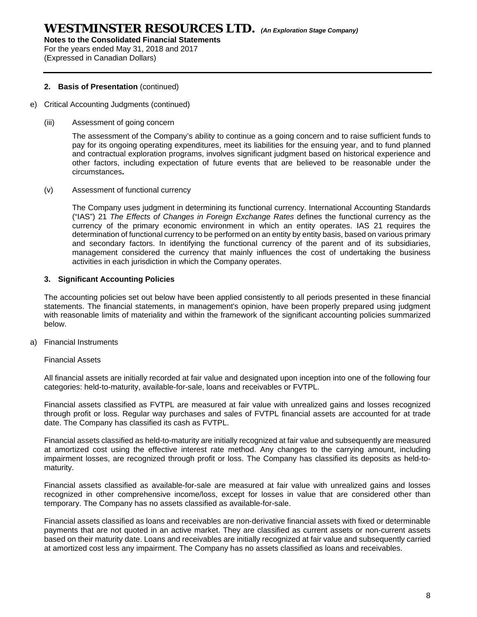**Notes to the Consolidated Financial Statements** 

For the years ended May 31, 2018 and 2017 (Expressed in Canadian Dollars)

### **2. Basis of Presentation** (continued)

- e) Critical Accounting Judgments (continued)
	- (iii) Assessment of going concern

The assessment of the Company's ability to continue as a going concern and to raise sufficient funds to pay for its ongoing operating expenditures, meet its liabilities for the ensuing year, and to fund planned and contractual exploration programs, involves significant judgment based on historical experience and other factors, including expectation of future events that are believed to be reasonable under the circumstances**.** 

### (v) Assessment of functional currency

The Company uses judgment in determining its functional currency. International Accounting Standards ("IAS") 21 *The Effects of Changes in Foreign Exchange Rates* defines the functional currency as the currency of the primary economic environment in which an entity operates. IAS 21 requires the determination of functional currency to be performed on an entity by entity basis, based on various primary and secondary factors. In identifying the functional currency of the parent and of its subsidiaries, management considered the currency that mainly influences the cost of undertaking the business activities in each jurisdiction in which the Company operates.

### **3. Significant Accounting Policies**

The accounting policies set out below have been applied consistently to all periods presented in these financial statements. The financial statements, in management's opinion, have been properly prepared using judgment with reasonable limits of materiality and within the framework of the significant accounting policies summarized below.

a) Financial Instruments

#### Financial Assets

All financial assets are initially recorded at fair value and designated upon inception into one of the following four categories: held-to-maturity, available-for-sale, loans and receivables or FVTPL.

Financial assets classified as FVTPL are measured at fair value with unrealized gains and losses recognized through profit or loss. Regular way purchases and sales of FVTPL financial assets are accounted for at trade date. The Company has classified its cash as FVTPL.

Financial assets classified as held-to-maturity are initially recognized at fair value and subsequently are measured at amortized cost using the effective interest rate method. Any changes to the carrying amount, including impairment losses, are recognized through profit or loss. The Company has classified its deposits as held-tomaturity.

Financial assets classified as available-for-sale are measured at fair value with unrealized gains and losses recognized in other comprehensive income/loss, except for losses in value that are considered other than temporary. The Company has no assets classified as available-for-sale.

Financial assets classified as loans and receivables are non-derivative financial assets with fixed or determinable payments that are not quoted in an active market. They are classified as current assets or non-current assets based on their maturity date. Loans and receivables are initially recognized at fair value and subsequently carried at amortized cost less any impairment. The Company has no assets classified as loans and receivables.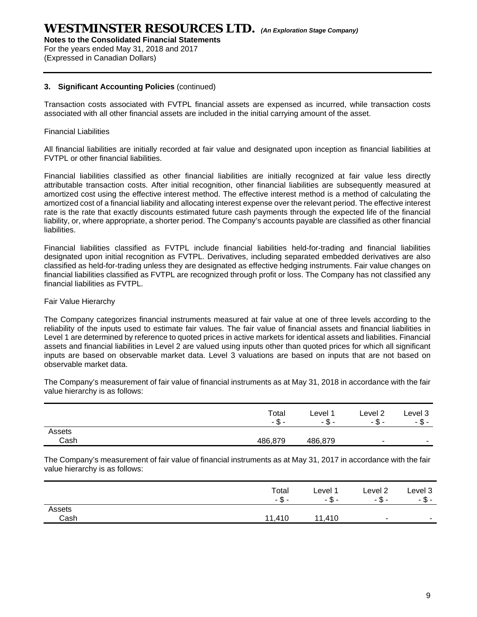**Notes to the Consolidated Financial Statements** 

For the years ended May 31, 2018 and 2017 (Expressed in Canadian Dollars)

### **3. Significant Accounting Policies** (continued)

Transaction costs associated with FVTPL financial assets are expensed as incurred, while transaction costs associated with all other financial assets are included in the initial carrying amount of the asset.

### Financial Liabilities

All financial liabilities are initially recorded at fair value and designated upon inception as financial liabilities at FVTPL or other financial liabilities.

Financial liabilities classified as other financial liabilities are initially recognized at fair value less directly attributable transaction costs. After initial recognition, other financial liabilities are subsequently measured at amortized cost using the effective interest method. The effective interest method is a method of calculating the amortized cost of a financial liability and allocating interest expense over the relevant period. The effective interest rate is the rate that exactly discounts estimated future cash payments through the expected life of the financial liability, or, where appropriate, a shorter period. The Company's accounts payable are classified as other financial liabilities.

Financial liabilities classified as FVTPL include financial liabilities held-for-trading and financial liabilities designated upon initial recognition as FVTPL. Derivatives, including separated embedded derivatives are also classified as held-for-trading unless they are designated as effective hedging instruments. Fair value changes on financial liabilities classified as FVTPL are recognized through profit or loss. The Company has not classified any financial liabilities as FVTPL.

### Fair Value Hierarchy

The Company categorizes financial instruments measured at fair value at one of three levels according to the reliability of the inputs used to estimate fair values. The fair value of financial assets and financial liabilities in Level 1 are determined by reference to quoted prices in active markets for identical assets and liabilities. Financial assets and financial liabilities in Level 2 are valued using inputs other than quoted prices for which all significant inputs are based on observable market data. Level 3 valuations are based on inputs that are not based on observable market data.

The Company's measurement of fair value of financial instruments as at May 31, 2018 in accordance with the fair value hierarchy is as follows:

|        | Total<br>ጥ<br>-ა | Level 1<br>ጦ<br>- ס | Level 2<br>-ა            | Level 3<br>-ა-           |
|--------|------------------|---------------------|--------------------------|--------------------------|
| Assets |                  |                     |                          |                          |
| Cash   | 486,879          | 486,879             | $\overline{\phantom{a}}$ | $\overline{\phantom{a}}$ |

The Company's measurement of fair value of financial instruments as at May 31, 2017 in accordance with the fair value hierarchy is as follows:

|        | Total<br>- ა | Level 1<br>$-$ \$ $-$ | Level <sub>2</sub><br>- ა - | Level 3<br>$-5-$ |
|--------|--------------|-----------------------|-----------------------------|------------------|
| Assets |              |                       |                             |                  |
| Cash   | 11,410       | 11.410                | $\sim$                      |                  |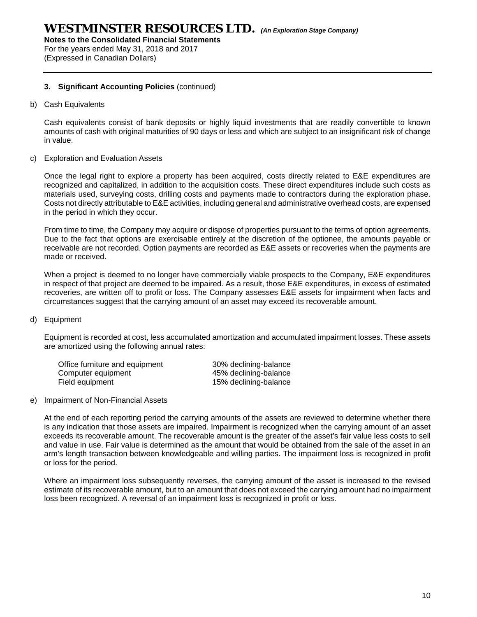**Notes to the Consolidated Financial Statements**  For the years ended May 31, 2018 and 2017

(Expressed in Canadian Dollars)

### **3. Significant Accounting Policies** (continued)

b) Cash Equivalents

Cash equivalents consist of bank deposits or highly liquid investments that are readily convertible to known amounts of cash with original maturities of 90 days or less and which are subject to an insignificant risk of change in value.

c) Exploration and Evaluation Assets

Once the legal right to explore a property has been acquired, costs directly related to E&E expenditures are recognized and capitalized, in addition to the acquisition costs. These direct expenditures include such costs as materials used, surveying costs, drilling costs and payments made to contractors during the exploration phase. Costs not directly attributable to E&E activities, including general and administrative overhead costs, are expensed in the period in which they occur.

From time to time, the Company may acquire or dispose of properties pursuant to the terms of option agreements. Due to the fact that options are exercisable entirely at the discretion of the optionee, the amounts payable or receivable are not recorded. Option payments are recorded as E&E assets or recoveries when the payments are made or received.

When a project is deemed to no longer have commercially viable prospects to the Company, E&E expenditures in respect of that project are deemed to be impaired. As a result, those E&E expenditures, in excess of estimated recoveries, are written off to profit or loss. The Company assesses E&E assets for impairment when facts and circumstances suggest that the carrying amount of an asset may exceed its recoverable amount.

d) Equipment

Equipment is recorded at cost, less accumulated amortization and accumulated impairment losses. These assets are amortized using the following annual rates:

| Office furniture and equipment | 30% declining-balance |
|--------------------------------|-----------------------|
| Computer equipment             | 45% declining-balance |
| Field equipment                | 15% declining-balance |

e) Impairment of Non-Financial Assets

At the end of each reporting period the carrying amounts of the assets are reviewed to determine whether there is any indication that those assets are impaired. Impairment is recognized when the carrying amount of an asset exceeds its recoverable amount. The recoverable amount is the greater of the asset's fair value less costs to sell and value in use. Fair value is determined as the amount that would be obtained from the sale of the asset in an arm's length transaction between knowledgeable and willing parties. The impairment loss is recognized in profit or loss for the period.

Where an impairment loss subsequently reverses, the carrying amount of the asset is increased to the revised estimate of its recoverable amount, but to an amount that does not exceed the carrying amount had no impairment loss been recognized. A reversal of an impairment loss is recognized in profit or loss.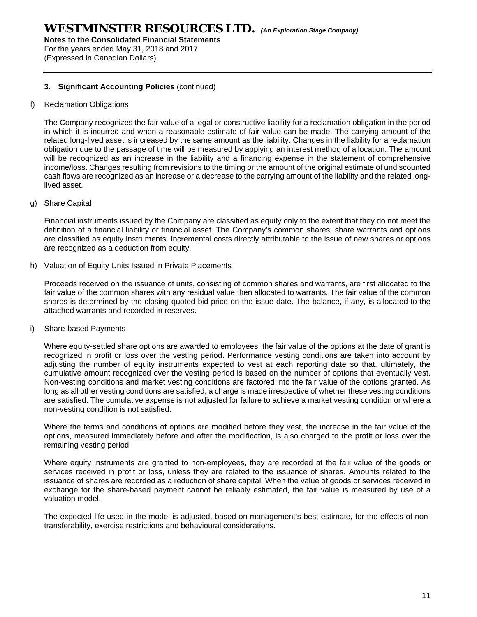**Notes to the Consolidated Financial Statements**  For the years ended May 31, 2018 and 2017

(Expressed in Canadian Dollars)

### **3. Significant Accounting Policies** (continued)

### f) Reclamation Obligations

The Company recognizes the fair value of a legal or constructive liability for a reclamation obligation in the period in which it is incurred and when a reasonable estimate of fair value can be made. The carrying amount of the related long-lived asset is increased by the same amount as the liability. Changes in the liability for a reclamation obligation due to the passage of time will be measured by applying an interest method of allocation. The amount will be recognized as an increase in the liability and a financing expense in the statement of comprehensive income/loss. Changes resulting from revisions to the timing or the amount of the original estimate of undiscounted cash flows are recognized as an increase or a decrease to the carrying amount of the liability and the related longlived asset.

g) Share Capital

Financial instruments issued by the Company are classified as equity only to the extent that they do not meet the definition of a financial liability or financial asset. The Company's common shares, share warrants and options are classified as equity instruments. Incremental costs directly attributable to the issue of new shares or options are recognized as a deduction from equity.

h) Valuation of Equity Units Issued in Private Placements

Proceeds received on the issuance of units, consisting of common shares and warrants, are first allocated to the fair value of the common shares with any residual value then allocated to warrants. The fair value of the common shares is determined by the closing quoted bid price on the issue date. The balance, if any, is allocated to the attached warrants and recorded in reserves.

i) Share-based Payments

Where equity-settled share options are awarded to employees, the fair value of the options at the date of grant is recognized in profit or loss over the vesting period. Performance vesting conditions are taken into account by adjusting the number of equity instruments expected to vest at each reporting date so that, ultimately, the cumulative amount recognized over the vesting period is based on the number of options that eventually vest. Non-vesting conditions and market vesting conditions are factored into the fair value of the options granted. As long as all other vesting conditions are satisfied, a charge is made irrespective of whether these vesting conditions are satisfied. The cumulative expense is not adjusted for failure to achieve a market vesting condition or where a non-vesting condition is not satisfied.

Where the terms and conditions of options are modified before they vest, the increase in the fair value of the options, measured immediately before and after the modification, is also charged to the profit or loss over the remaining vesting period.

Where equity instruments are granted to non-employees, they are recorded at the fair value of the goods or services received in profit or loss, unless they are related to the issuance of shares. Amounts related to the issuance of shares are recorded as a reduction of share capital. When the value of goods or services received in exchange for the share-based payment cannot be reliably estimated, the fair value is measured by use of a valuation model.

The expected life used in the model is adjusted, based on management's best estimate, for the effects of nontransferability, exercise restrictions and behavioural considerations.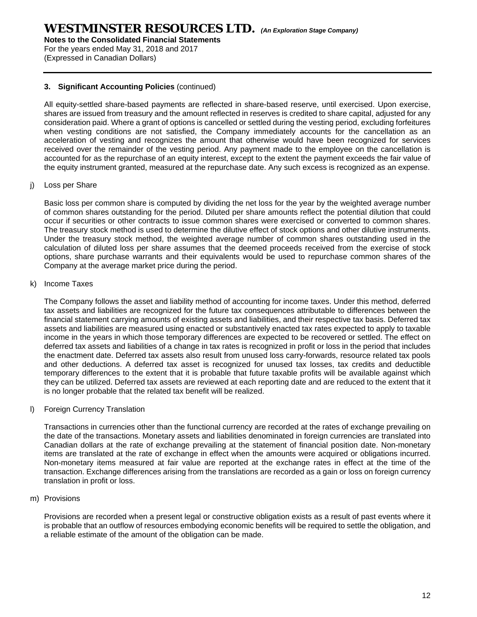**Notes to the Consolidated Financial Statements** 

For the years ended May 31, 2018 and 2017 (Expressed in Canadian Dollars)

### **3. Significant Accounting Policies** (continued)

All equity-settled share-based payments are reflected in share-based reserve, until exercised. Upon exercise, shares are issued from treasury and the amount reflected in reserves is credited to share capital, adjusted for any consideration paid. Where a grant of options is cancelled or settled during the vesting period, excluding forfeitures when vesting conditions are not satisfied, the Company immediately accounts for the cancellation as an acceleration of vesting and recognizes the amount that otherwise would have been recognized for services received over the remainder of the vesting period. Any payment made to the employee on the cancellation is accounted for as the repurchase of an equity interest, except to the extent the payment exceeds the fair value of the equity instrument granted, measured at the repurchase date. Any such excess is recognized as an expense.

### j) Loss per Share

Basic loss per common share is computed by dividing the net loss for the year by the weighted average number of common shares outstanding for the period. Diluted per share amounts reflect the potential dilution that could occur if securities or other contracts to issue common shares were exercised or converted to common shares. The treasury stock method is used to determine the dilutive effect of stock options and other dilutive instruments. Under the treasury stock method, the weighted average number of common shares outstanding used in the calculation of diluted loss per share assumes that the deemed proceeds received from the exercise of stock options, share purchase warrants and their equivalents would be used to repurchase common shares of the Company at the average market price during the period.

### k) Income Taxes

The Company follows the asset and liability method of accounting for income taxes. Under this method, deferred tax assets and liabilities are recognized for the future tax consequences attributable to differences between the financial statement carrying amounts of existing assets and liabilities, and their respective tax basis. Deferred tax assets and liabilities are measured using enacted or substantively enacted tax rates expected to apply to taxable income in the years in which those temporary differences are expected to be recovered or settled. The effect on deferred tax assets and liabilities of a change in tax rates is recognized in profit or loss in the period that includes the enactment date. Deferred tax assets also result from unused loss carry-forwards, resource related tax pools and other deductions. A deferred tax asset is recognized for unused tax losses, tax credits and deductible temporary differences to the extent that it is probable that future taxable profits will be available against which they can be utilized. Deferred tax assets are reviewed at each reporting date and are reduced to the extent that it is no longer probable that the related tax benefit will be realized.

#### l) Foreign Currency Translation

Transactions in currencies other than the functional currency are recorded at the rates of exchange prevailing on the date of the transactions. Monetary assets and liabilities denominated in foreign currencies are translated into Canadian dollars at the rate of exchange prevailing at the statement of financial position date. Non-monetary items are translated at the rate of exchange in effect when the amounts were acquired or obligations incurred. Non-monetary items measured at fair value are reported at the exchange rates in effect at the time of the transaction. Exchange differences arising from the translations are recorded as a gain or loss on foreign currency translation in profit or loss.

#### m) Provisions

Provisions are recorded when a present legal or constructive obligation exists as a result of past events where it is probable that an outflow of resources embodying economic benefits will be required to settle the obligation, and a reliable estimate of the amount of the obligation can be made.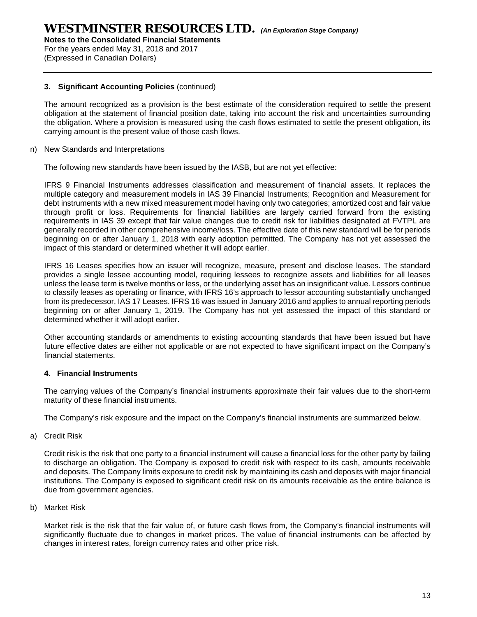For the years ended May 31, 2018 and 2017 (Expressed in Canadian Dollars)

### **3. Significant Accounting Policies** (continued)

The amount recognized as a provision is the best estimate of the consideration required to settle the present obligation at the statement of financial position date, taking into account the risk and uncertainties surrounding the obligation. Where a provision is measured using the cash flows estimated to settle the present obligation, its carrying amount is the present value of those cash flows.

n) New Standards and Interpretations

The following new standards have been issued by the IASB, but are not yet effective:

IFRS 9 Financial Instruments addresses classification and measurement of financial assets. It replaces the multiple category and measurement models in IAS 39 Financial Instruments; Recognition and Measurement for debt instruments with a new mixed measurement model having only two categories; amortized cost and fair value through profit or loss. Requirements for financial liabilities are largely carried forward from the existing requirements in IAS 39 except that fair value changes due to credit risk for liabilities designated at FVTPL are generally recorded in other comprehensive income/loss. The effective date of this new standard will be for periods beginning on or after January 1, 2018 with early adoption permitted. The Company has not yet assessed the impact of this standard or determined whether it will adopt earlier.

IFRS 16 Leases specifies how an issuer will recognize, measure, present and disclose leases. The standard provides a single lessee accounting model, requiring lessees to recognize assets and liabilities for all leases unless the lease term is twelve months or less, or the underlying asset has an insignificant value. Lessors continue to classify leases as operating or finance, with IFRS 16's approach to lessor accounting substantially unchanged from its predecessor, IAS 17 Leases. IFRS 16 was issued in January 2016 and applies to annual reporting periods beginning on or after January 1, 2019. The Company has not yet assessed the impact of this standard or determined whether it will adopt earlier.

Other accounting standards or amendments to existing accounting standards that have been issued but have future effective dates are either not applicable or are not expected to have significant impact on the Company's financial statements.

### **4. Financial Instruments**

The carrying values of the Company's financial instruments approximate their fair values due to the short-term maturity of these financial instruments.

The Company's risk exposure and the impact on the Company's financial instruments are summarized below.

a) Credit Risk

Credit risk is the risk that one party to a financial instrument will cause a financial loss for the other party by failing to discharge an obligation. The Company is exposed to credit risk with respect to its cash, amounts receivable and deposits. The Company limits exposure to credit risk by maintaining its cash and deposits with major financial institutions. The Company is exposed to significant credit risk on its amounts receivable as the entire balance is due from government agencies.

b) Market Risk

Market risk is the risk that the fair value of, or future cash flows from, the Company's financial instruments will significantly fluctuate due to changes in market prices. The value of financial instruments can be affected by changes in interest rates, foreign currency rates and other price risk.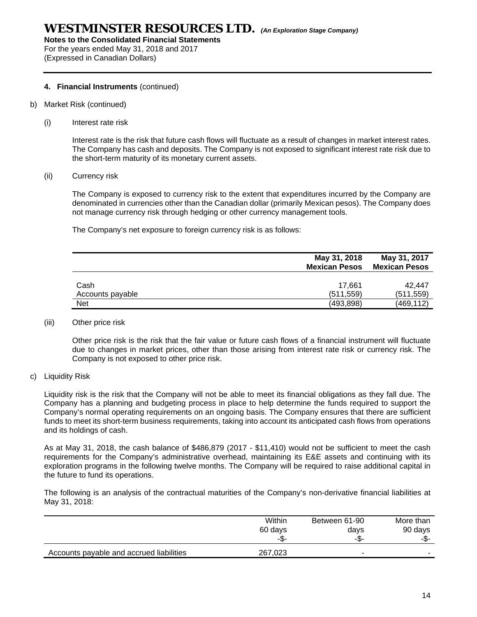**Notes to the Consolidated Financial Statements** 

For the years ended May 31, 2018 and 2017 (Expressed in Canadian Dollars)

### **4. Financial Instruments** (continued)

- b) Market Risk (continued)
	- (i) Interest rate risk

Interest rate is the risk that future cash flows will fluctuate as a result of changes in market interest rates. The Company has cash and deposits. The Company is not exposed to significant interest rate risk due to the short-term maturity of its monetary current assets.

(ii) Currency risk

The Company is exposed to currency risk to the extent that expenditures incurred by the Company are denominated in currencies other than the Canadian dollar (primarily Mexican pesos). The Company does not manage currency risk through hedging or other currency management tools.

The Company's net exposure to foreign currency risk is as follows:

|                          | May 31, 2018<br><b>Mexican Pesos</b> | May 31, 2017<br><b>Mexican Pesos</b> |
|--------------------------|--------------------------------------|--------------------------------------|
| Cash<br>Accounts payable | 17.661<br>(511, 559)                 | 42.447<br>(511, 559)                 |
| <b>Net</b>               | (493, 898)                           | (469, 112)                           |

(iii) Other price risk

Other price risk is the risk that the fair value or future cash flows of a financial instrument will fluctuate due to changes in market prices, other than those arising from interest rate risk or currency risk. The Company is not exposed to other price risk.

c) Liquidity Risk

Liquidity risk is the risk that the Company will not be able to meet its financial obligations as they fall due. The Company has a planning and budgeting process in place to help determine the funds required to support the Company's normal operating requirements on an ongoing basis. The Company ensures that there are sufficient funds to meet its short-term business requirements, taking into account its anticipated cash flows from operations and its holdings of cash.

As at May 31, 2018, the cash balance of \$486,879 (2017 - \$11,410) would not be sufficient to meet the cash requirements for the Company's administrative overhead, maintaining its E&E assets and continuing with its exploration programs in the following twelve months. The Company will be required to raise additional capital in the future to fund its operations.

The following is an analysis of the contractual maturities of the Company's non-derivative financial liabilities at May 31, 2018:

|                                          | Within  | Between 61-90            | More than |
|------------------------------------------|---------|--------------------------|-----------|
|                                          | 60 days | days                     | 90 days   |
|                                          | -\$-    | -ა-                      | -\$-      |
| Accounts payable and accrued liabilities | 267,023 | $\overline{\phantom{a}}$ | -         |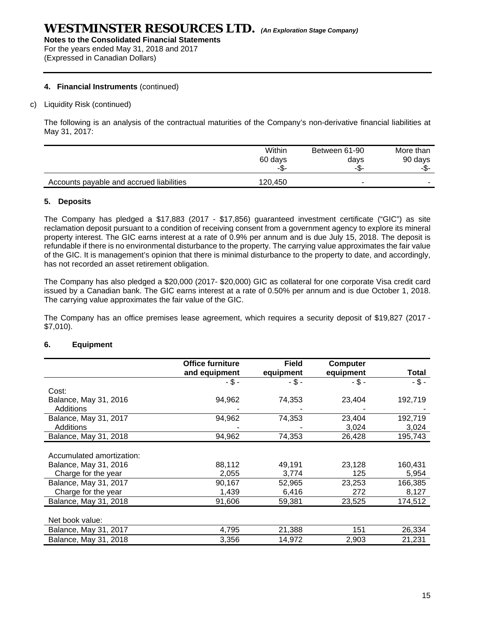For the years ended May 31, 2018 and 2017 (Expressed in Canadian Dollars)

### **4. Financial Instruments** (continued)

### c) Liquidity Risk (continued)

The following is an analysis of the contractual maturities of the Company's non-derivative financial liabilities at May 31, 2017:

|                                          | Within  | Between 61-90 | More than |
|------------------------------------------|---------|---------------|-----------|
|                                          | 60 days | days          | 90 days   |
|                                          | -ა-     | -\$-          | -ഹ-       |
| Accounts payable and accrued liabilities | 120.450 |               |           |

### **5. Deposits**

The Company has pledged a \$17,883 (2017 - \$17,856) guaranteed investment certificate ("GIC") as site reclamation deposit pursuant to a condition of receiving consent from a government agency to explore its mineral property interest. The GIC earns interest at a rate of 0.9% per annum and is due July 15, 2018. The deposit is refundable if there is no environmental disturbance to the property. The carrying value approximates the fair value of the GIC. It is management's opinion that there is minimal disturbance to the property to date, and accordingly, has not recorded an asset retirement obligation.

The Company has also pledged a \$20,000 (2017- \$20,000) GIC as collateral for one corporate Visa credit card issued by a Canadian bank. The GIC earns interest at a rate of 0.50% per annum and is due October 1, 2018. The carrying value approximates the fair value of the GIC.

The Company has an office premises lease agreement, which requires a security deposit of \$19,827 (2017 - \$7,010).

|                           | <b>Office furniture</b> | <b>Field</b> | <b>Computer</b> |         |
|---------------------------|-------------------------|--------------|-----------------|---------|
|                           | and equipment           | equipment    | equipment       | Total   |
|                           | $-$ \$ -                | $-$ \$ -     | - \$ -          | $-5 -$  |
| Cost:                     |                         |              |                 |         |
| Balance, May 31, 2016     | 94,962                  | 74,353       | 23,404          | 192,719 |
| Additions                 |                         |              |                 |         |
| Balance, May 31, 2017     | 94,962                  | 74,353       | 23,404          | 192,719 |
| <b>Additions</b>          |                         |              | 3,024           | 3,024   |
| Balance, May 31, 2018     | 94,962                  | 74,353       | 26,428          | 195,743 |
|                           |                         |              |                 |         |
| Accumulated amortization: |                         |              |                 |         |
| Balance, May 31, 2016     | 88,112                  | 49,191       | 23,128          | 160,431 |
| Charge for the year       | 2,055                   | 3,774        | 125             | 5,954   |
| Balance, May 31, 2017     | 90,167                  | 52,965       | 23,253          | 166,385 |
| Charge for the year       | 1,439                   | 6,416        | 272             | 8,127   |
| Balance, May 31, 2018     | 91,606                  | 59,381       | 23,525          | 174,512 |
|                           |                         |              |                 |         |
| Net book value:           |                         |              |                 |         |
| Balance, May 31, 2017     | 4,795                   | 21,388       | 151             | 26,334  |
| Balance, May 31, 2018     | 3,356                   | 14,972       | 2,903           | 21,231  |

### **6. Equipment**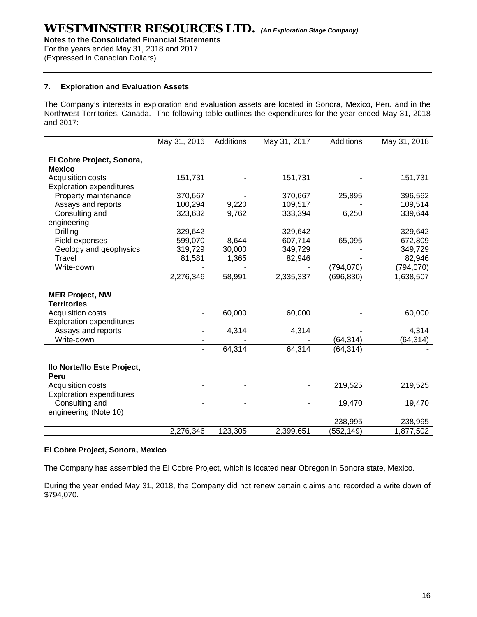**Notes to the Consolidated Financial Statements** 

For the years ended May 31, 2018 and 2017 (Expressed in Canadian Dollars)

### **7. Exploration and Evaluation Assets**

The Company's interests in exploration and evaluation assets are located in Sonora, Mexico, Peru and in the Northwest Territories, Canada. The following table outlines the expenditures for the year ended May 31, 2018 and 2017:

|                                 | May 31, 2016   | Additions | May 31, 2017 | Additions  | May 31, 2018 |
|---------------------------------|----------------|-----------|--------------|------------|--------------|
|                                 |                |           |              |            |              |
| El Cobre Project, Sonora,       |                |           |              |            |              |
| <b>Mexico</b>                   |                |           |              |            |              |
| Acquisition costs               | 151,731        |           | 151,731      |            | 151,731      |
| <b>Exploration expenditures</b> |                |           |              |            |              |
| Property maintenance            | 370,667        |           | 370,667      | 25,895     | 396,562      |
| Assays and reports              | 100,294        | 9,220     | 109,517      |            | 109,514      |
| Consulting and                  | 323,632        | 9,762     | 333,394      | 6,250      | 339,644      |
| engineering                     |                |           |              |            |              |
| <b>Drilling</b>                 | 329,642        |           | 329,642      |            | 329,642      |
| Field expenses                  | 599,070        | 8,644     | 607,714      | 65,095     | 672,809      |
| Geology and geophysics          | 319,729        | 30,000    | 349,729      |            | 349,729      |
| Travel                          | 81,581         | 1,365     | 82,946       |            | 82,946       |
| Write-down                      |                |           |              | (794,070)  | (794,070)    |
|                                 | 2,276,346      | 58,991    | 2,335,337    | (696, 830) | 1,638,507    |
| <b>MER Project, NW</b>          |                |           |              |            |              |
| <b>Territories</b>              |                |           |              |            |              |
| Acquisition costs               |                | 60,000    | 60,000       |            | 60,000       |
| <b>Exploration expenditures</b> |                |           |              |            |              |
| Assays and reports              |                |           |              |            | 4,314        |
| Write-down                      |                | 4,314     | 4,314        | (64, 314)  | (64, 314)    |
|                                 | $\blacksquare$ | 64,314    | 64,314       | (64, 314)  |              |
|                                 |                |           |              |            |              |
| Ilo Norte/Ilo Este Project,     |                |           |              |            |              |
| Peru                            |                |           |              |            |              |
| Acquisition costs               |                |           |              | 219,525    | 219,525      |
| <b>Exploration expenditures</b> |                |           |              |            |              |
| Consulting and                  |                |           |              | 19,470     | 19,470       |
| engineering (Note 10)           |                |           |              |            |              |
|                                 |                |           |              | 238,995    | 238,995      |
|                                 | 2,276,346      | 123,305   | 2,399,651    | (552, 149) | 1,877,502    |

#### **El Cobre Project, Sonora, Mexico**

The Company has assembled the El Cobre Project, which is located near Obregon in Sonora state, Mexico.

During the year ended May 31, 2018, the Company did not renew certain claims and recorded a write down of \$794,070.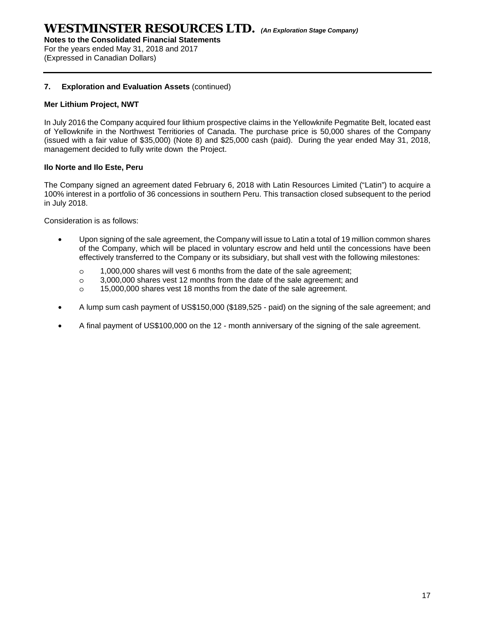**Notes to the Consolidated Financial Statements** 

For the years ended May 31, 2018 and 2017 (Expressed in Canadian Dollars)

### **7. Exploration and Evaluation Assets** (continued)

### **Mer Lithium Project, NWT**

In July 2016 the Company acquired four lithium prospective claims in the Yellowknife Pegmatite Belt, located east of Yellowknife in the Northwest Territiories of Canada. The purchase price is 50,000 shares of the Company (issued with a fair value of \$35,000) (Note 8) and \$25,000 cash (paid). During the year ended May 31, 2018, management decided to fully write down the Project.

### **Ilo Norte and Ilo Este, Peru**

The Company signed an agreement dated February 6, 2018 with Latin Resources Limited ("Latin") to acquire a 100% interest in a portfolio of 36 concessions in southern Peru. This transaction closed subsequent to the period in July 2018.

Consideration is as follows:

- Upon signing of the sale agreement, the Company will issue to Latin a total of 19 million common shares of the Company, which will be placed in voluntary escrow and held until the concessions have been effectively transferred to the Company or its subsidiary, but shall vest with the following milestones:
	- o 1,000,000 shares will vest 6 months from the date of the sale agreement;
	- o 3,000,000 shares vest 12 months from the date of the sale agreement; and
	- o 15,000,000 shares vest 18 months from the date of the sale agreement.
- A lump sum cash payment of US\$150,000 (\$189,525 paid) on the signing of the sale agreement; and
- A final payment of US\$100,000 on the 12 month anniversary of the signing of the sale agreement.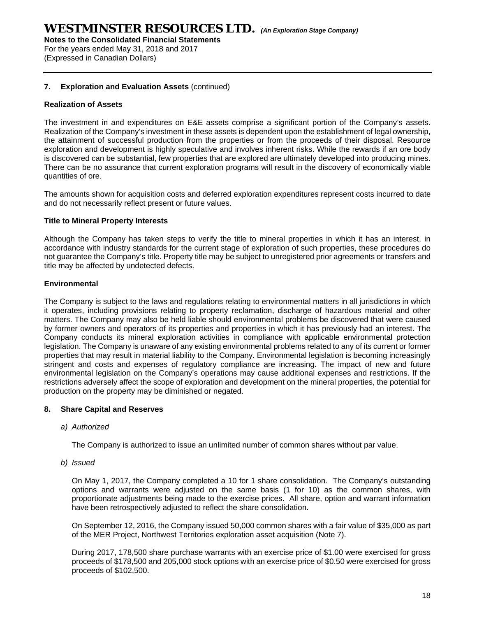**Notes to the Consolidated Financial Statements** 

For the years ended May 31, 2018 and 2017 (Expressed in Canadian Dollars)

### **7. Exploration and Evaluation Assets** (continued)

### **Realization of Assets**

The investment in and expenditures on E&E assets comprise a significant portion of the Company's assets. Realization of the Company's investment in these assets is dependent upon the establishment of legal ownership, the attainment of successful production from the properties or from the proceeds of their disposal. Resource exploration and development is highly speculative and involves inherent risks. While the rewards if an ore body is discovered can be substantial, few properties that are explored are ultimately developed into producing mines. There can be no assurance that current exploration programs will result in the discovery of economically viable quantities of ore.

The amounts shown for acquisition costs and deferred exploration expenditures represent costs incurred to date and do not necessarily reflect present or future values.

### **Title to Mineral Property Interests**

Although the Company has taken steps to verify the title to mineral properties in which it has an interest, in accordance with industry standards for the current stage of exploration of such properties, these procedures do not guarantee the Company's title. Property title may be subject to unregistered prior agreements or transfers and title may be affected by undetected defects.

### **Environmental**

The Company is subject to the laws and regulations relating to environmental matters in all jurisdictions in which it operates, including provisions relating to property reclamation, discharge of hazardous material and other matters. The Company may also be held liable should environmental problems be discovered that were caused by former owners and operators of its properties and properties in which it has previously had an interest. The Company conducts its mineral exploration activities in compliance with applicable environmental protection legislation. The Company is unaware of any existing environmental problems related to any of its current or former properties that may result in material liability to the Company. Environmental legislation is becoming increasingly stringent and costs and expenses of regulatory compliance are increasing. The impact of new and future environmental legislation on the Company's operations may cause additional expenses and restrictions. If the restrictions adversely affect the scope of exploration and development on the mineral properties, the potential for production on the property may be diminished or negated.

### **8. Share Capital and Reserves**

*a) Authorized* 

The Company is authorized to issue an unlimited number of common shares without par value.

*b) Issued* 

On May 1, 2017, the Company completed a 10 for 1 share consolidation. The Company's outstanding options and warrants were adjusted on the same basis (1 for 10) as the common shares, with proportionate adjustments being made to the exercise prices. All share, option and warrant information have been retrospectively adjusted to reflect the share consolidation.

On September 12, 2016, the Company issued 50,000 common shares with a fair value of \$35,000 as part of the MER Project, Northwest Territories exploration asset acquisition (Note 7).

During 2017, 178,500 share purchase warrants with an exercise price of \$1.00 were exercised for gross proceeds of \$178,500 and 205,000 stock options with an exercise price of \$0.50 were exercised for gross proceeds of \$102,500.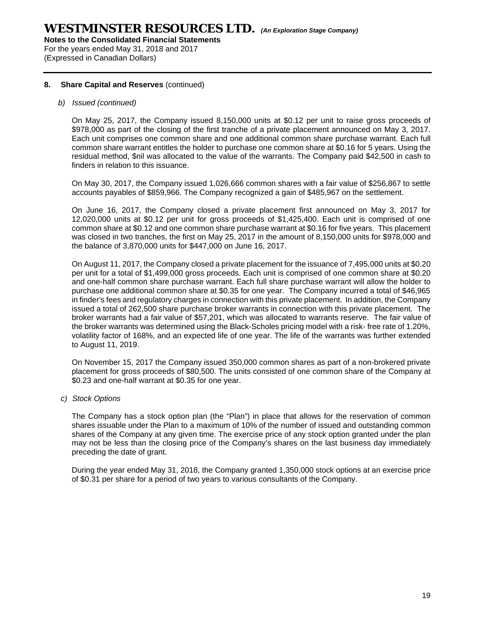For the years ended May 31, 2018 and 2017 (Expressed in Canadian Dollars)

### **8. Share Capital and Reserves** (continued)

### *b) Issued (continued)*

On May 25, 2017, the Company issued 8,150,000 units at \$0.12 per unit to raise gross proceeds of \$978,000 as part of the closing of the first tranche of a private placement announced on May 3, 2017. Each unit comprises one common share and one additional common share purchase warrant. Each full common share warrant entitles the holder to purchase one common share at \$0.16 for 5 years. Using the residual method, \$nil was allocated to the value of the warrants. The Company paid \$42,500 in cash to finders in relation to this issuance.

On May 30, 2017, the Company issued 1,026,666 common shares with a fair value of \$256,867 to settle accounts payables of \$859,966. The Company recognized a gain of \$485,967 on the settlement.

On June 16, 2017, the Company closed a private placement first announced on May 3, 2017 for 12,020,000 units at \$0.12 per unit for gross proceeds of \$1,425,400. Each unit is comprised of one common share at \$0.12 and one common share purchase warrant at \$0.16 for five years. This placement was closed in two tranches, the first on May 25, 2017 in the amount of 8,150,000 units for \$978,000 and the balance of 3,870,000 units for \$447,000 on June 16, 2017.

On August 11, 2017, the Company closed a private placement for the issuance of 7,495,000 units at \$0.20 per unit for a total of \$1,499,000 gross proceeds. Each unit is comprised of one common share at \$0.20 and one-half common share purchase warrant. Each full share purchase warrant will allow the holder to purchase one additional common share at \$0.35 for one year. The Company incurred a total of \$46,965 in finder's fees and regulatory charges in connection with this private placement. In addition, the Company issued a total of 262,500 share purchase broker warrants in connection with this private placement. The broker warrants had a fair value of \$57,201, which was allocated to warrants reserve. The fair value of the broker warrants was determined using the Black-Scholes pricing model with a risk- free rate of 1.20%, volatility factor of 168%, and an expected life of one year. The life of the warrants was further extended to August 11, 2019.

On November 15, 2017 the Company issued 350,000 common shares as part of a non-brokered private placement for gross proceeds of \$80,500. The units consisted of one common share of the Company at \$0.23 and one-half warrant at \$0.35 for one year.

#### *c) Stock Options*

The Company has a stock option plan (the "Plan") in place that allows for the reservation of common shares issuable under the Plan to a maximum of 10% of the number of issued and outstanding common shares of the Company at any given time. The exercise price of any stock option granted under the plan may not be less than the closing price of the Company's shares on the last business day immediately preceding the date of grant.

During the year ended May 31, 2018, the Company granted 1,350,000 stock options at an exercise price of \$0.31 per share for a period of two years to various consultants of the Company.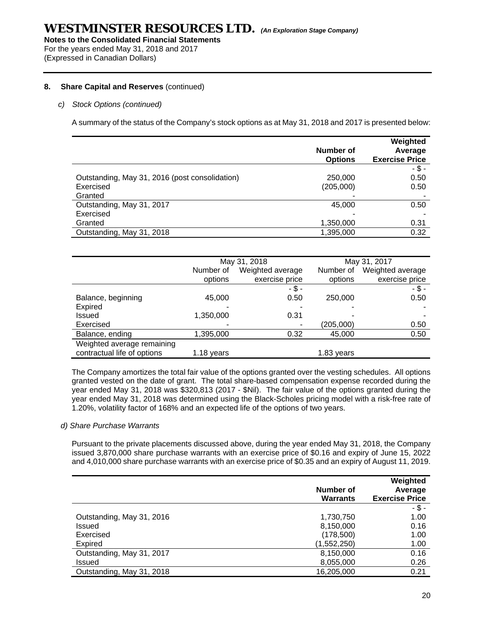For the years ended May 31, 2018 and 2017 (Expressed in Canadian Dollars)

### **8. Share Capital and Reserves** (continued)

### *c) Stock Options (continued)*

A summary of the status of the Company's stock options as at May 31, 2018 and 2017 is presented below:

|                                                | Number of<br><b>Options</b> | Weighted<br>Average<br><b>Exercise Price</b> |
|------------------------------------------------|-----------------------------|----------------------------------------------|
|                                                |                             | $-5 -$                                       |
| Outstanding, May 31, 2016 (post consolidation) | 250,000                     | 0.50                                         |
| Exercised                                      | (205,000)                   | 0.50                                         |
| Granted                                        |                             |                                              |
| Outstanding, May 31, 2017                      | 45,000                      | 0.50                                         |
| Exercised                                      |                             |                                              |
| Granted                                        | 1,350,000                   | 0.31                                         |
| Outstanding, May 31, 2018                      | 1,395,000                   | 0.32                                         |

|                             | May 31, 2018 |                  |            | May 31, 2017     |
|-----------------------------|--------------|------------------|------------|------------------|
|                             | Number of    | Weighted average | Number of  | Weighted average |
|                             | options      | exercise price   | options    | exercise price   |
|                             |              | - \$ -           |            | $-$ \$ -         |
| Balance, beginning          | 45,000       | 0.50             | 250,000    | 0.50             |
| Expired                     |              |                  |            |                  |
| Issued                      | 1,350,000    | 0.31             |            |                  |
| Exercised                   |              |                  | (205,000)  | 0.50             |
| Balance, ending             | 1,395,000    | 0.32             | 45,000     | 0.50             |
| Weighted average remaining  |              |                  |            |                  |
| contractual life of options | 1.18 years   |                  | 1.83 years |                  |

The Company amortizes the total fair value of the options granted over the vesting schedules. All options granted vested on the date of grant. The total share-based compensation expense recorded during the year ended May 31, 2018 was \$320,813 (2017 - \$Nil). The fair value of the options granted during the year ended May 31, 2018 was determined using the Black-Scholes pricing model with a risk-free rate of 1.20%, volatility factor of 168% and an expected life of the options of two years.

#### *d) Share Purchase Warrants*

 Pursuant to the private placements discussed above, during the year ended May 31, 2018, the Company issued 3,870,000 share purchase warrants with an exercise price of \$0.16 and expiry of June 15, 2022 and 4,010,000 share purchase warrants with an exercise price of \$0.35 and an expiry of August 11, 2019.

|                           |                 | Weighted              |
|---------------------------|-----------------|-----------------------|
|                           | Number of       | Average               |
|                           | <b>Warrants</b> | <b>Exercise Price</b> |
|                           |                 | $-$ \$ -              |
| Outstanding, May 31, 2016 | 1,730,750       | 1.00                  |
| <b>Issued</b>             | 8,150,000       | 0.16                  |
| Exercised                 | (178,500)       | 1.00                  |
| <b>Expired</b>            | (1,552,250)     | 1.00                  |
| Outstanding, May 31, 2017 | 8,150,000       | 0.16                  |
| <b>Issued</b>             | 8,055,000       | 0.26                  |
| Outstanding, May 31, 2018 | 16,205,000      | 0.21                  |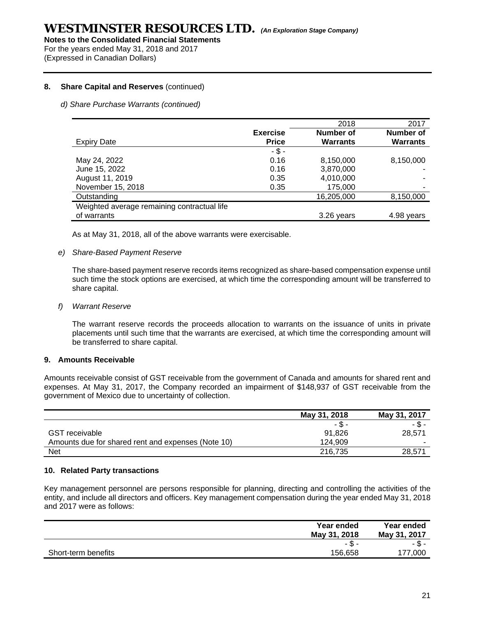For the years ended May 31, 2018 and 2017 (Expressed in Canadian Dollars)

### **8. Share Capital and Reserves** (continued)

### *d) Share Purchase Warrants (continued)*

|                                             |                 | 2018            | 2017            |
|---------------------------------------------|-----------------|-----------------|-----------------|
|                                             | <b>Exercise</b> | Number of       | Number of       |
| <b>Expiry Date</b>                          | <b>Price</b>    | <b>Warrants</b> | <b>Warrants</b> |
|                                             | $-$ \$ -        |                 |                 |
| May 24, 2022                                | 0.16            | 8,150,000       | 8,150,000       |
| June 15, 2022                               | 0.16            | 3,870,000       |                 |
| August 11, 2019                             | 0.35            | 4,010,000       | $\blacksquare$  |
| November 15, 2018                           | 0.35            | 175,000         |                 |
| Outstanding                                 |                 | 16,205,000      | 8,150,000       |
| Weighted average remaining contractual life |                 |                 |                 |
| of warrants                                 |                 | 3.26 years      | 4.98 years      |

As at May 31, 2018, all of the above warrants were exercisable.

#### *e) Share-Based Payment Reserve*

The share-based payment reserve records items recognized as share-based compensation expense until such time the stock options are exercised, at which time the corresponding amount will be transferred to share capital.

#### *f) Warrant Reserve*

The warrant reserve records the proceeds allocation to warrants on the issuance of units in private placements until such time that the warrants are exercised, at which time the corresponding amount will be transferred to share capital.

#### **9. Amounts Receivable**

Amounts receivable consist of GST receivable from the government of Canada and amounts for shared rent and expenses. At May 31, 2017, the Company recorded an impairment of \$148,937 of GST receivable from the government of Mexico due to uncertainty of collection.

|                                                    | May 31, 2018 | May 31, 2017 |
|----------------------------------------------------|--------------|--------------|
|                                                    | - \$ -       | - \$ -       |
| <b>GST</b> receivable                              | 91.826       | 28.571       |
| Amounts due for shared rent and expenses (Note 10) | 124.909      | -            |
| <b>Net</b>                                         | 216,735      | 28.571       |

#### **10. Related Party transactions**

Key management personnel are persons responsible for planning, directing and controlling the activities of the entity, and include all directors and officers. Key management compensation during the year ended May 31, 2018 and 2017 were as follows:

|                     | Year ended<br>May 31, 2018 | Year ended<br>May 31, 2017 |
|---------------------|----------------------------|----------------------------|
|                     | -ა-                        | -ა-                        |
| Short-term benefits | 156,658                    | 177.000                    |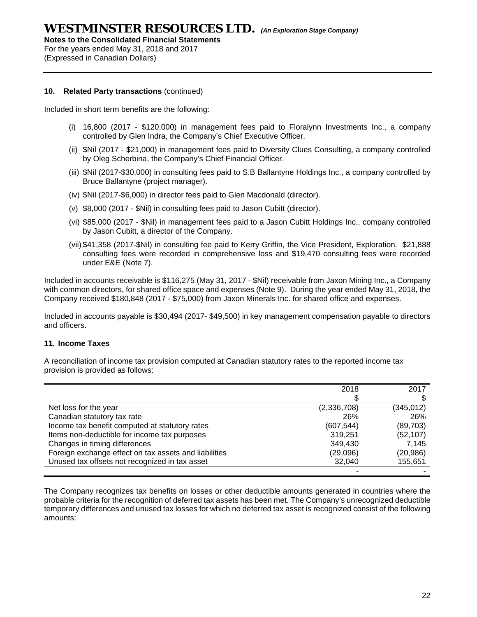**Notes to the Consolidated Financial Statements** 

For the years ended May 31, 2018 and 2017 (Expressed in Canadian Dollars)

### **10. Related Party transactions** (continued)

Included in short term benefits are the following:

- (i) 16,800 (2017 \$120,000) in management fees paid to Floralynn Investments Inc., a company controlled by Glen Indra, the Company's Chief Executive Officer.
- (ii) \$Nil (2017 \$21,000) in management fees paid to Diversity Clues Consulting, a company controlled by Oleg Scherbina, the Company's Chief Financial Officer.
- (iii) \$Nil (2017-\$30,000) in consulting fees paid to S.B Ballantyne Holdings Inc., a company controlled by Bruce Ballantyne (project manager).
- (iv) \$Nil (2017-\$6,000) in director fees paid to Glen Macdonald (director).
- (v) \$8,000 (2017 \$Nil) in consulting fees paid to Jason Cubitt (director).
- (vi) \$85,000 (2017 \$Nil) in management fees paid to a Jason Cubitt Holdings Inc., company controlled by Jason Cubitt, a director of the Company.
- (vii) \$41,358 (2017-\$Nil) in consulting fee paid to Kerry Griffin, the Vice President, Exploration. \$21,888 consulting fees were recorded in comprehensive loss and \$19,470 consulting fees were recorded under E&E (Note 7).

Included in accounts receivable is \$116,275 (May 31, 2017 - \$Nil) receivable from Jaxon Mining Inc., a Company with common directors, for shared office space and expenses (Note 9). During the year ended May 31, 2018, the Company received \$180,848 (2017 - \$75,000) from Jaxon Minerals Inc. for shared office and expenses.

Included in accounts payable is \$30,494 (2017- \$49,500) in key management compensation payable to directors and officers.

### **11. Income Taxes**

A reconciliation of income tax provision computed at Canadian statutory rates to the reported income tax provision is provided as follows:

|                                                       | 2018        | 2017       |
|-------------------------------------------------------|-------------|------------|
|                                                       |             |            |
| Net loss for the year                                 | (2,336,708) | (345, 012) |
| Canadian statutory tax rate                           | 26%         | 26%        |
| Income tax benefit computed at statutory rates        | (607,544)   | (89,703)   |
| Items non-deductible for income tax purposes          | 319,251     | (52, 107)  |
| Changes in timing differences                         | 349,430     | 7.145      |
| Foreign exchange effect on tax assets and liabilities | (29,096)    | (20, 986)  |
| Unused tax offsets not recognized in tax asset        | 32,040      | 155,651    |
|                                                       |             |            |

The Company recognizes tax benefits on losses or other deductible amounts generated in countries where the probable criteria for the recognition of deferred tax assets has been met. The Company's unrecognized deductible temporary differences and unused tax losses for which no deferred tax asset is recognized consist of the following amounts: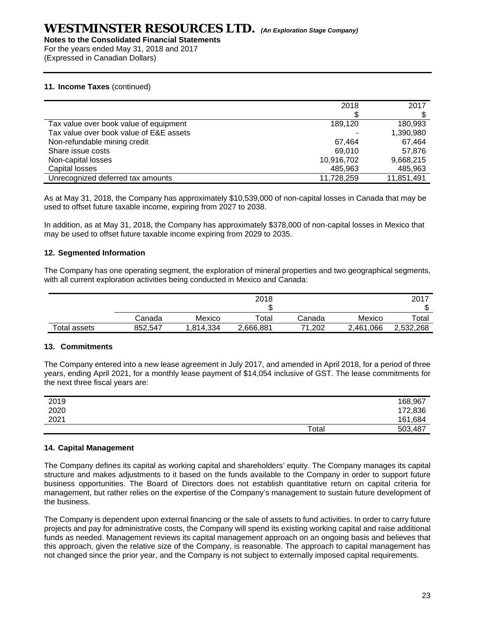**Notes to the Consolidated Financial Statements** 

For the years ended May 31, 2018 and 2017 (Expressed in Canadian Dollars)

### **11. Income Taxes** (continued)

|                                         | 2018       | 2017       |
|-----------------------------------------|------------|------------|
| Tax value over book value of equipment  | 189,120    | 180.993    |
| Tax value over book value of E&E assets |            | 1,390,980  |
| Non-refundable mining credit            | 67.464     | 67,464     |
| Share issue costs                       | 69.010     | 57.876     |
| Non-capital losses                      | 10,916,702 | 9,668,215  |
| Capital losses                          | 485,963    | 485,963    |
| Unrecognized deferred tax amounts       | 11,728,259 | 11,851,491 |

As at May 31, 2018, the Company has approximately \$10,539,000 of non-capital losses in Canada that may be used to offset future taxable income, expiring from 2027 to 2038.

In addition, as at May 31, 2018, the Company has approximately \$378,000 of non-capital losses in Mexico that may be used to offset future taxable income expiring from 2029 to 2035.

### **12. Segmented Information**

The Company has one operating segment, the exploration of mineral properties and two geographical segments, with all current exploration activities being conducted in Mexico and Canada:

|              |         |          | 2018      |            |           | 2017      |
|--------------|---------|----------|-----------|------------|-----------|-----------|
|              |         |          |           |            |           | ۰D        |
|              | Canada  | Mexico   | Total     | Canada     | Mexico    | Total     |
| Total assets | 852,547 | ,814,334 | 2,666,881 | .202<br>71 | 2,461,066 | 2,532,268 |

### **13. Commitments**

The Company entered into a new lease agreement in July 2017, and amended in April 2018, for a period of three years, ending April 2021, for a monthly lease payment of \$14,054 inclusive of GST. The lease commitments for the next three fiscal years are:

| 2019 |       | 168,967 |
|------|-------|---------|
| 2020 |       | 172,836 |
| 2021 |       | 161,684 |
|      | Total | 503,487 |

### **14. Capital Management**

The Company defines its capital as working capital and shareholders' equity. The Company manages its capital structure and makes adjustments to it based on the funds available to the Company in order to support future business opportunities. The Board of Directors does not establish quantitative return on capital criteria for management, but rather relies on the expertise of the Company's management to sustain future development of the business.

The Company is dependent upon external financing or the sale of assets to fund activities. In order to carry future projects and pay for administrative costs, the Company will spend its existing working capital and raise additional funds as needed. Management reviews its capital management approach on an ongoing basis and believes that this approach, given the relative size of the Company, is reasonable. The approach to capital management has not changed since the prior year, and the Company is not subject to externally imposed capital requirements.